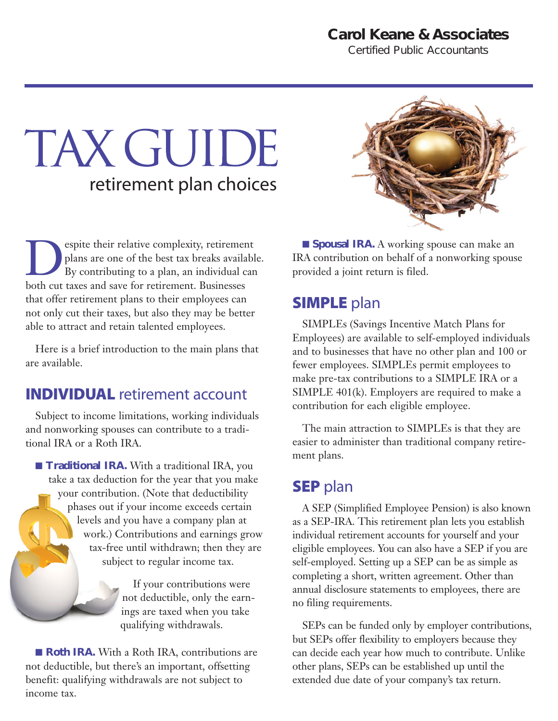# **Carol Keane & Associates**

*Certified Public Accountants*

# TAX GUIDE retirement plan choices

Explore their relative complexity, retirement<br>plans are one of the best tax breaks availab<br>By contributing to a plan, an individual cal<br>both cut taxes and save for retirement. Businesses plans are one of the best tax breaks available. By contributing to a plan, an individual can both cut taxes and save for retirement. Businesses that offer retirement plans to their employees can not only cut their taxes, but also they may be better able to attract and retain talented employees.

Here is a brief introduction to the main plans that are available.

#### INDIVIDUAL retirement account

Subject to income limitations, working individuals and nonworking spouses can contribute to a traditional IRA or a Roth IRA.

■ **Traditional IRA.** With a traditional IRA, you take a tax deduction for the year that you make your contribution. (Note that deductibility phases out if your income exceeds certain levels and you have a company plan at work.) Contributions and earnings grow tax-free until withdrawn; then they are subject to regular income tax.

> If your contributions were not deductible, only the earnings are taxed when you take qualifying withdrawals.

■ **Roth IRA.** With a Roth IRA, contributions are not deductible, but there's an important, offsetting benefit: qualifying withdrawals are not subject to income tax.



■ **Spousal IRA.** A working spouse can make an IRA contribution on behalf of a nonworking spouse provided a joint return is filed.

# **SIMPLE** plan

SIMPLEs (Savings Incentive Match Plans for Employees) are available to self-employed individuals and to businesses that have no other plan and 100 or fewer employees. SIMPLEs permit employees to make pre-tax contributions to a SIMPLE IRA or a SIMPLE 401(k). Employers are required to make a contribution for each eligible employee.

The main attraction to SIMPLEs is that they are easier to administer than traditional company retirement plans.

#### **SEP** plan

A SEP (Simplified Employee Pension) is also known as a SEP-IRA. This retirement plan lets you establish individual retirement accounts for yourself and your eligible employees. You can also have a SEP if you are self-employed. Setting up a SEP can be as simple as completing a short, written agreement. Other than annual disclosure statements to employees, there are no filing requirements.

SEPs can be funded only by employer contributions, but SEPs offer flexibility to employers because they can decide each year how much to contribute. Unlike other plans, SEPs can be established up until the extended due date of your company's tax return.